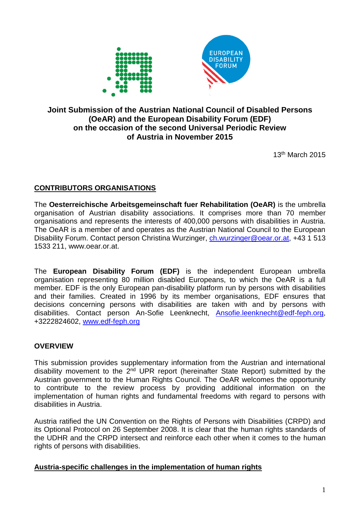

# **Joint Submission of the Austrian National Council of Disabled Persons (OeAR) and the European Disability Forum (EDF) on the occasion of the second Universal Periodic Review of Austria in November 2015**

13th March 2015

# **CONTRIBUTORS ORGANISATIONS**

The **Oesterreichische Arbeitsgemeinschaft fuer Rehabilitation (OeAR)** is the umbrella organisation of Austrian disability associations. It comprises more than 70 member organisations and represents the interests of 400,000 persons with disabilities in Austria. The OeAR is a member of and operates as the Austrian National Council to the European Disability Forum. Contact person Christina Wurzinger, [ch.wurzinger@oear.or.at,](mailto:ch.wurzinger@oear.or.at) +43 1 513 1533 211, www.oear.or.at.

The **European Disability Forum (EDF)** is the independent European umbrella organisation representing 80 million disabled Europeans, to which the OeAR is a full member. EDF is the only European pan-disability platform run by persons with disabilities and their families. Created in 1996 by its member organisations, EDF ensures that decisions concerning persons with disabilities are taken with and by persons with disabilities. Contact person An-Sofie Leenknecht, [Ansofie.leenknecht@edf-feph.org,](mailto:Ansofie.leenknecht@edf-feph.org) +3222824602, [www.edf-feph.org](http://www.edf-feph.org/)

# **OVERVIEW**

This submission provides supplementary information from the Austrian and international disability movement to the 2<sup>nd</sup> UPR report (hereinafter State Report) submitted by the Austrian government to the Human Rights Council. The OeAR welcomes the opportunity to contribute to the review process by providing additional information on the implementation of human rights and fundamental freedoms with regard to persons with disabilities in Austria.

Austria ratified the UN Convention on the Rights of Persons with Disabilities (CRPD) and its Optional Protocol on 26 September 2008. It is clear that the human rights standards of the UDHR and the CRPD intersect and reinforce each other when it comes to the human rights of persons with disabilities.

#### **Austria-specific challenges in the implementation of human rights**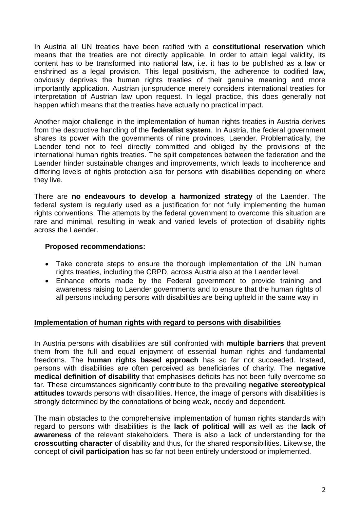In Austria all UN treaties have been ratified with a **constitutional reservation** which means that the treaties are not directly applicable. In order to attain legal validity, its content has to be transformed into national law, i.e. it has to be published as a law or enshrined as a legal provision. This legal positivism, the adherence to codified law, obviously deprives the human rights treaties of their genuine meaning and more importantly application. Austrian jurisprudence merely considers international treaties for interpretation of Austrian law upon request. In legal practice, this does generally not happen which means that the treaties have actually no practical impact.

Another major challenge in the implementation of human rights treaties in Austria derives from the destructive handling of the **federalist system**. In Austria, the federal government shares its power with the governments of nine provinces, Laender. Problematically, the Laender tend not to feel directly committed and obliged by the provisions of the international human rights treaties. The split competences between the federation and the Laender hinder sustainable changes and improvements, which leads to incoherence and differing levels of rights protection also for persons with disabilities depending on where they live.

There are **no endeavours to develop a harmonized strategy** of the Laender. The federal system is regularly used as a justification for not fully implementing the human rights conventions. The attempts by the federal government to overcome this situation are rare and minimal, resulting in weak and varied levels of protection of disability rights across the Laender.

#### **Proposed recommendations:**

- Take concrete steps to ensure the thorough implementation of the UN human rights treaties, including the CRPD, across Austria also at the Laender level.
- Enhance efforts made by the Federal government to provide training and awareness raising to Laender governments and to ensure that the human rights of all persons including persons with disabilities are being upheld in the same way in

#### **Implementation of human rights with regard to persons with disabilities**

In Austria persons with disabilities are still confronted with **multiple barriers** that prevent them from the full and equal enjoyment of essential human rights and fundamental freedoms. The **human rights based approach** has so far not succeeded. Instead, persons with disabilities are often perceived as beneficiaries of charity. The **negative medical definition of disability** that emphasises deficits has not been fully overcome so far. These circumstances significantly contribute to the prevailing **negative stereotypical attitudes** towards persons with disabilities. Hence, the image of persons with disabilities is strongly determined by the connotations of being weak, needy and dependent.

The main obstacles to the comprehensive implementation of human rights standards with regard to persons with disabilities is the **lack of political will** as well as the **lack of awareness** of the relevant stakeholders. There is also a lack of understanding for the **crosscutting character** of disability and thus, for the shared responsibilities. Likewise, the concept of **civil participation** has so far not been entirely understood or implemented.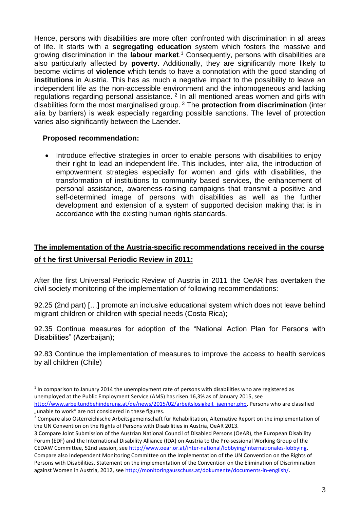Hence, persons with disabilities are more often confronted with discrimination in all areas of life. It starts with a **segregating education** system which fosters the massive and growing discrimination in the **labour market**. <sup>1</sup> Consequently, persons with disabilities are also particularly affected by **poverty**. Additionally, they are significantly more likely to become victims of **violence** which tends to have a connotation with the good standing of **institutions** in Austria. This has as much a negative impact to the possibility to leave an independent life as the non-accessible environment and the inhomogeneous and lacking regulations regarding personal assistance. <sup>2</sup> In all mentioned areas women and girls with disabilities form the most marginalised group. <sup>3</sup> The **protection from discrimination** (inter alia by barriers) is weak especially regarding possible sanctions. The level of protection varies also significantly between the Laender.

### **Proposed recommendation:**

1

• Introduce effective strategies in order to enable persons with disabilities to enjoy their right to lead an independent life. This includes, inter alia, the introduction of empowerment strategies especially for women and girls with disabilities, the transformation of institutions to community based services, the enhancement of personal assistance, awareness-raising campaigns that transmit a positive and self-determined image of persons with disabilities as well as the further development and extension of a system of supported decision making that is in accordance with the existing human rights standards.

# **The implementation of the Austria-specific recommendations received in the course of t he first Universal Periodic Review in 2011:**

After the first Universal Periodic Review of Austria in 2011 the OeAR has overtaken the civil society monitoring of the implementation of following recommendations:

92.25 (2nd part) […] promote an inclusive educational system which does not leave behind migrant children or children with special needs (Costa Rica);

92.35 Continue measures for adoption of the "National Action Plan for Persons with Disabilities" (Azerbaijan);

92.83 Continue the implementation of measures to improve the access to health services by all children (Chile)

 $<sup>1</sup>$  In comparison to January 2014 the unemployment rate of persons with disabilities who are registered as</sup> unemployed at the Public Employment Service (AMS) has risen 16,3% as of January 2015, see [http://www.arbeitundbehinderung.at/de/news/2015/02/arbeitslosigkeit\\_jaenner.php.](http://www.arbeitundbehinderung.at/de/news/2015/02/arbeitslosigkeit_jaenner.php) Persons who are classified "unable to work" are not considered in these figures.

<sup>&</sup>lt;sup>2</sup> Compare also Österreichische Arbeitsgemeinschaft für Rehabilitation, Alternative Report on the implementation of the UN Convention on the Rights of Persons with Disabilities in Austria, OeAR 2013.

<sup>3</sup> Compare Joint Submission of the Austrian National Council of Disabled Persons (OeAR), the European Disability Forum (EDF) and the International Disability Alliance (IDA) on Austria to the Pre-sessional Working Group of the CEDAW Committee, 52nd session, see [http://www.oear.or.at/inter-national/lobbying/internationales-lobbying.](http://www.oear.or.at/inter-national/lobbying/internationales-lobbying)  Compare also Independent Monitoring Committee on the Implementation of the UN Convention on the Rights of

Persons with Disabilities, Statement on the implementation of the Convention on the Elimination of Discrimination against Women in Austria, 2012, see [http://monitoringausschuss.at/dokumente/documents-in-english/.](http://monitoringausschuss.at/dokumente/documents-in-english/)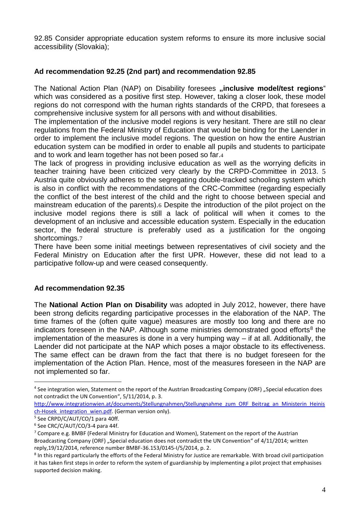92.85 Consider appropriate education system reforms to ensure its more inclusive social accessibility (Slovakia);

# **Ad recommendation 92.25 (2nd part) and recommendation 92.85**

The National Action Plan (NAP) on Disability foresees "inclusive model/test regions" which was considered as a positive first step. However, taking a closer look, these model regions do not correspond with the human rights standards of the CRPD, that foresees a comprehensive inclusive system for all persons with and without disabilities.

The implementation of the inclusive model regions is very hesitant. There are still no clear regulations from the Federal Ministry of Education that would be binding for the Laender in order to implement the inclusive model regions. The question on how the entire Austrian education system can be modified in order to enable all pupils and students to participate and to work and learn together has not been posed so far.4

The lack of progress in providing inclusive education as well as the worrying deficits in teacher training have been criticized very clearly by the CRPD-Committee in 2013. 5 Austria quite obviously adheres to the segregating double-tracked schooling system which is also in conflict with the recommendations of the CRC-Committee (regarding especially the conflict of the best interest of the child and the right to choose between special and mainstream education of the parents).6 Despite the introduction of the pilot project on the inclusive model regions there is still a lack of political will when it comes to the development of an inclusive and accessible education system. Especially in the education sector, the federal structure is preferably used as a justification for the ongoing shortcomings.7

There have been some initial meetings between representatives of civil society and the Federal Ministry on Education after the first UPR. However, these did not lead to a participative follow-up and were ceased consequently.

# **Ad recommendation 92.35**

The **National Action Plan on Disability** was adopted in July 2012, however, there have been strong deficits regarding participative processes in the elaboration of the NAP. The time frames of the (often quite vague) measures are mostly too long and there are no indicators foreseen in the NAP. Although some ministries demonstrated good efforts<sup>8</sup> the implementation of the measures is done in a very humping way – if at all. Additionally, the Laender did not participate at the NAP which poses a major obstacle to its effectiveness. The same effect can be drawn from the fact that there is no budget foreseen for the implementation of the Action Plan. Hence, most of the measures foreseen in the NAP are not implemented so far.

1

<sup>&</sup>lt;sup>4</sup> See integration wien, Statement on the report of the Austrian Broadcasting Company (ORF) "Special education does not contradict the UN Convention", 5/11/2014, p. 3.

[http://www.integrationwien.at/documents/Stellungnahmen/Stellungnahme\\_zum\\_ORF\\_Beitrag\\_an\\_Ministerin\\_Heinis](http://www.integrationwien.at/documents/Stellungnahmen/Stellungnahme_zum_ORF_Beitrag_an_Ministerin_Heinisch-Hosek_integration_wien.pdf) ch-Hosek integration wien.pdf. (German version only).

<sup>5</sup> See CRPD/C/AUT/CO/1 para 40ff.

<sup>6</sup> See CRC/C/AUT/CO/3-4 para 44f.

<sup>7</sup> Compare e.g. BMBF (Federal Ministry for Education and Women), Statement on the report of the Austrian Broadcasting Company (ORF) "Special education does not contradict the UN Convention" of 4/11/2014; written reply,19/12/2014, reference number BMBF-36.153/0145-I/5/2014, p. 2.

<sup>&</sup>lt;sup>8</sup> In this regard particularly the efforts of the Federal Ministry for Justice are remarkable. With broad civil participation it has taken first steps in order to reform the system of guardianship by implementing a pilot project that emphasises supported decision making.